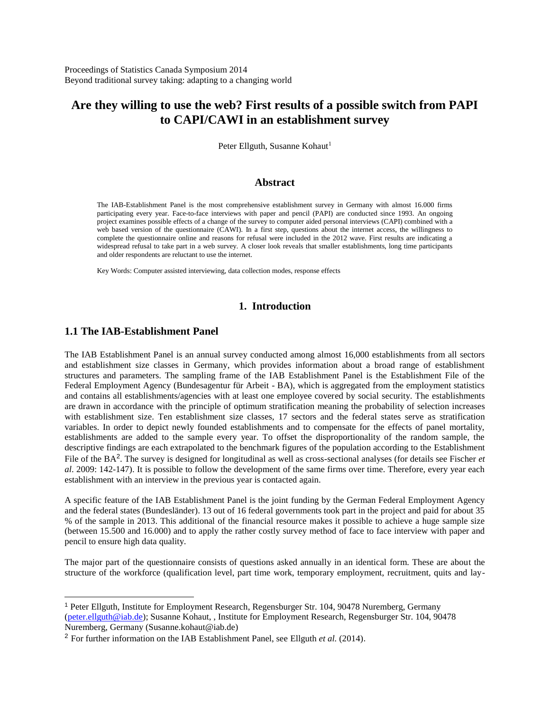# **Are they willing to use the web? First results of a possible switch from PAPI to CAPI/CAWI in an establishment survey**

Peter Ellguth, Susanne Kohaut<sup>1</sup>

#### **Abstract**

The IAB-Establishment Panel is the most comprehensive establishment survey in Germany with almost 16.000 firms participating every year. Face-to-face interviews with paper and pencil (PAPI) are conducted since 1993. An ongoing project examines possible effects of a change of the survey to computer aided personal interviews (CAPI) combined with a web based version of the questionnaire (CAWI). In a first step, questions about the internet access, the willingness to complete the questionnaire online and reasons for refusal were included in the 2012 wave. First results are indicating a widespread refusal to take part in a web survey. A closer look reveals that smaller establishments, long time participants and older respondents are reluctant to use the internet.

Key Words: Computer assisted interviewing, data collection modes, response effects

### **1. Introduction**

### **1.1 The IAB-Establishment Panel**

 $\overline{a}$ 

The IAB Establishment Panel is an annual survey conducted among almost 16,000 establishments from all sectors and establishment size classes in Germany, which provides information about a broad range of establishment structures and parameters. The sampling frame of the IAB Establishment Panel is the Establishment File of the Federal Employment Agency (Bundesagentur für Arbeit - BA), which is aggregated from the employment statistics and contains all establishments/agencies with at least one employee covered by social security. The establishments are drawn in accordance with the principle of optimum stratification meaning the probability of selection increases with establishment size. Ten establishment size classes, 17 sectors and the federal states serve as stratification variables. In order to depict newly founded establishments and to compensate for the effects of panel mortality, establishments are added to the sample every year. To offset the disproportionality of the random sample, the descriptive findings are each extrapolated to the benchmark figures of the population according to the Establishment File of the BA<sup>2</sup>. The survey is designed for longitudinal as well as cross-sectional analyses (for details see Fischer *et al*. 2009: 142-147). It is possible to follow the development of the same firms over time. Therefore, every year each establishment with an interview in the previous year is contacted again.

A specific feature of the IAB Establishment Panel is the joint funding by the German Federal Employment Agency and the federal states (Bundesländer). 13 out of 16 federal governments took part in the project and paid for about 35 % of the sample in 2013. This additional of the financial resource makes it possible to achieve a huge sample size (between 15.500 and 16.000) and to apply the rather costly survey method of face to face interview with paper and pencil to ensure high data quality.

The major part of the questionnaire consists of questions asked annually in an identical form. These are about the structure of the workforce (qualification level, part time work, temporary employment, recruitment, quits and lay-

<sup>1</sup> Peter Ellguth, Institute for Employment Research, Regensburger Str. 104, 90478 Nuremberg, Germany [\(peter.ellguth@iab.de\)](mailto:peter.ellguth@iab.de); Susanne Kohaut, , Institute for Employment Research, Regensburger Str. 104, 90478 Nuremberg, Germany (Susanne.kohaut@iab.de)

<sup>2</sup> For further information on the IAB Establishment Panel, see Ellguth *et al.* (2014).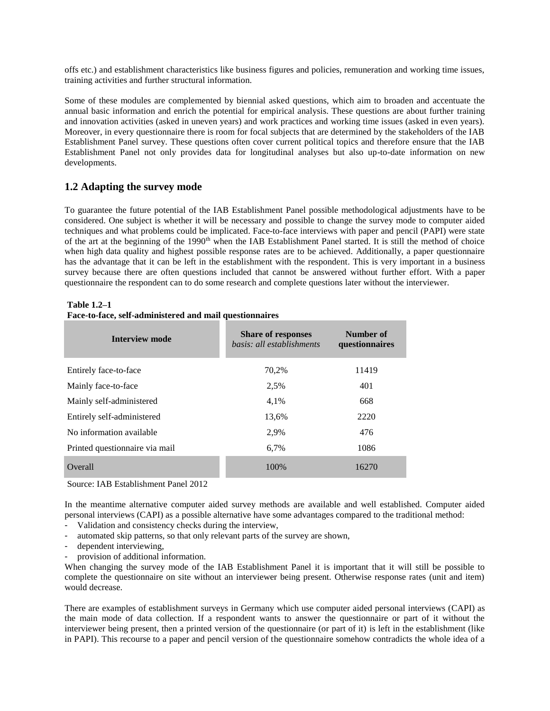offs etc.) and establishment characteristics like business figures and policies, remuneration and working time issues, training activities and further structural information.

Some of these modules are complemented by biennial asked questions, which aim to broaden and accentuate the annual basic information and enrich the potential for empirical analysis. These questions are about further training and innovation activities (asked in uneven years) and work practices and working time issues (asked in even years). Moreover, in every questionnaire there is room for focal subjects that are determined by the stakeholders of the IAB Establishment Panel survey. These questions often cover current political topics and therefore ensure that the IAB Establishment Panel not only provides data for longitudinal analyses but also up-to-date information on new developments.

# **1.2 Adapting the survey mode**

To guarantee the future potential of the IAB Establishment Panel possible methodological adjustments have to be considered. One subject is whether it will be necessary and possible to change the survey mode to computer aided techniques and what problems could be implicated. Face-to-face interviews with paper and pencil (PAPI) were state of the art at the beginning of the 1990<sup>th</sup> when the IAB Establishment Panel started. It is still the method of choice when high data quality and highest possible response rates are to be achieved. Additionally, a paper questionnaire has the advantage that it can be left in the establishment with the respondent. This is very important in a business survey because there are often questions included that cannot be answered without further effort. With a paper questionnaire the respondent can to do some research and complete questions later without the interviewer.

| <b>Interview mode</b>          | <b>Share of responses</b><br>basis: all establishments | Number of<br>questionnaires |
|--------------------------------|--------------------------------------------------------|-----------------------------|
| Entirely face-to-face          | 70,2%                                                  | 11419                       |
| Mainly face-to-face            | 2,5%                                                   | 401                         |
| Mainly self-administered       | 4,1%                                                   | 668                         |
| Entirely self-administered     | 13,6%                                                  | 2220                        |
| No information available       | 2,9%                                                   | 476                         |
| Printed questionnaire via mail | 6,7%                                                   | 1086                        |
| Overall                        | 100%                                                   | 16270                       |

# **Table 1.2–1**

**Face-to-face, self-administered and mail questionnaires**

Source: IAB Establishment Panel 2012

In the meantime alternative computer aided survey methods are available and well established. Computer aided personal interviews (CAPI) as a possible alternative have some advantages compared to the traditional method:

- Validation and consistency checks during the interview,
- automated skip patterns, so that only relevant parts of the survey are shown,
- dependent interviewing,
- provision of additional information.

When changing the survey mode of the IAB Establishment Panel it is important that it will still be possible to complete the questionnaire on site without an interviewer being present. Otherwise response rates (unit and item) would decrease.

There are examples of establishment surveys in Germany which use computer aided personal interviews (CAPI) as the main mode of data collection. If a respondent wants to answer the questionnaire or part of it without the interviewer being present, then a printed version of the questionnaire (or part of it) is left in the establishment (like in PAPI). This recourse to a paper and pencil version of the questionnaire somehow contradicts the whole idea of a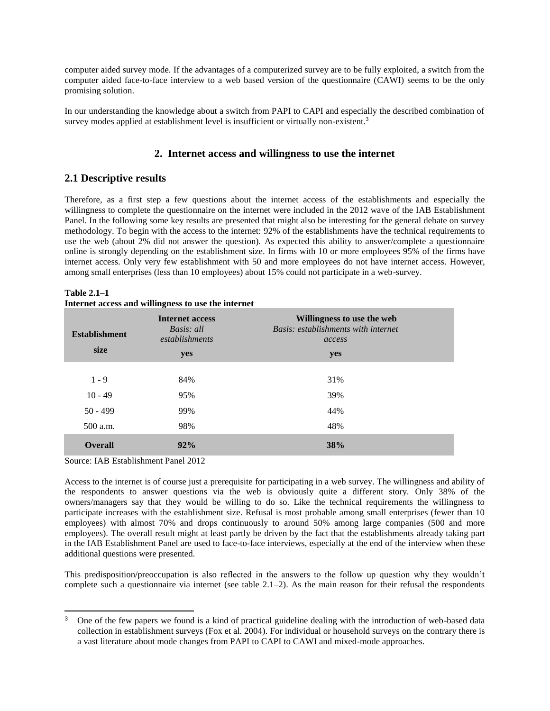computer aided survey mode. If the advantages of a computerized survey are to be fully exploited, a switch from the computer aided face-to-face interview to a web based version of the questionnaire (CAWI) seems to be the only promising solution.

In our understanding the knowledge about a switch from PAPI to CAPI and especially the described combination of survey modes applied at establishment level is insufficient or virtually non-existent.<sup>3</sup>

### **2. Internet access and willingness to use the internet**

# **2.1 Descriptive results**

Therefore, as a first step a few questions about the internet access of the establishments and especially the willingness to complete the questionnaire on the internet were included in the 2012 wave of the IAB Establishment Panel. In the following some key results are presented that might also be interesting for the general debate on survey methodology. To begin with the access to the internet: 92% of the establishments have the technical requirements to use the web (about 2% did not answer the question). As expected this ability to answer/complete a questionnaire online is strongly depending on the establishment size. In firms with 10 or more employees 95% of the firms have internet access. Only very few establishment with 50 and more employees do not have internet access. However, among small enterprises (less than 10 employees) about 15% could not participate in a web-survey.

| <b>Establishment</b><br>size | <b>Internet access</b><br>Basis: all<br>establishments<br>yes | Willingness to use the web<br>Basis: establishments with internet<br>access<br>yes |
|------------------------------|---------------------------------------------------------------|------------------------------------------------------------------------------------|
| $1 - 9$                      | 84%                                                           | 31%                                                                                |
| $10 - 49$                    | 95%                                                           | 39%                                                                                |
| $50 - 499$                   | 99%                                                           | 44%                                                                                |
| 500 a.m.                     | 98%                                                           | 48%                                                                                |
| <b>Overall</b>               | 92%                                                           | 38%                                                                                |

**Table 2.1–1 Internet access and willingness to use the internet**

Source: IAB Establishment Panel 2012

 $\overline{a}$ 

Access to the internet is of course just a prerequisite for participating in a web survey. The willingness and ability of the respondents to answer questions via the web is obviously quite a different story. Only 38% of the owners/managers say that they would be willing to do so. Like the technical requirements the willingness to participate increases with the establishment size. Refusal is most probable among small enterprises (fewer than 10 employees) with almost 70% and drops continuously to around 50% among large companies (500 and more employees). The overall result might at least partly be driven by the fact that the establishments already taking part in the IAB Establishment Panel are used to face-to-face interviews, especially at the end of the interview when these additional questions were presented.

This predisposition/preoccupation is also reflected in the answers to the follow up question why they wouldn't complete such a questionnaire via internet (see table  $2.1-2$ ). As the main reason for their refusal the respondents

<sup>&</sup>lt;sup>3</sup> One of the few papers we found is a kind of practical guideline dealing with the introduction of web-based data collection in establishment surveys (Fox et al. 2004). For individual or household surveys on the contrary there is a vast literature about mode changes from PAPI to CAPI to CAWI and mixed-mode approaches.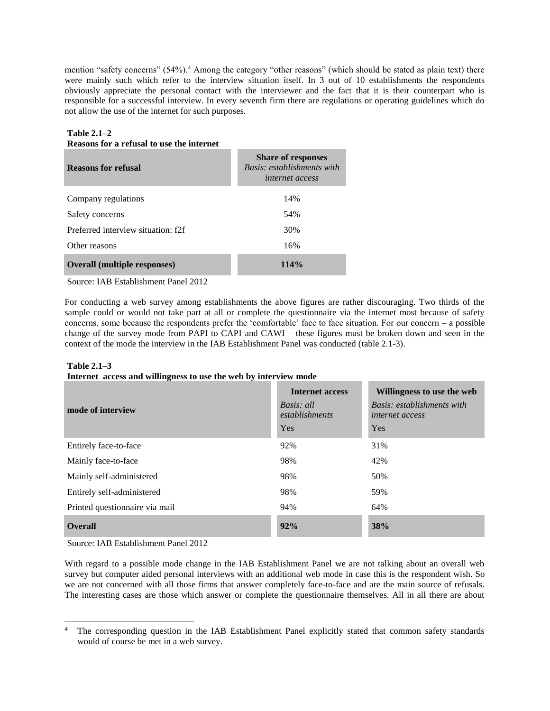mention "safety concerns" (54%).<sup>4</sup> Among the category "other reasons" (which should be stated as plain text) there were mainly such which refer to the interview situation itself. In 3 out of 10 establishments the respondents obviously appreciate the personal contact with the interviewer and the fact that it is their counterpart who is responsible for a successful interview. In every seventh firm there are regulations or operating guidelines which do not allow the use of the internet for such purposes.

#### **Table 2.1–2 Reasons for a refusal to use the internet**

| <b>Reasons for refusal</b>          | <b>Share of responses</b><br>Basis: establishments with<br><i>internet access</i> |
|-------------------------------------|-----------------------------------------------------------------------------------|
| Company regulations                 | 14%                                                                               |
| Safety concerns                     | 54%                                                                               |
| Preferred interview situation: f2f  | 30%                                                                               |
| Other reasons                       | 16%                                                                               |
| <b>Overall (multiple responses)</b> | 114%                                                                              |

Source: IAB Establishment Panel 2012

For conducting a web survey among establishments the above figures are rather discouraging. Two thirds of the sample could or would not take part at all or complete the questionnaire via the internet most because of safety concerns, some because the respondents prefer the 'comfortable' face to face situation. For our concern – a possible change of the survey mode from PAPI to CAPI and CAWI – these figures must be broken down and seen in the context of the mode the interview in the IAB Establishment Panel was conducted (table 2.1-3).

#### **Table 2.1–3 Internet access and willingness to use the web by interview mode**

| mode of interview              | <b>Internet access</b><br>Basis: all<br>establishments<br>Yes | Willingness to use the web<br>Basis: establishments with<br><i>internet access</i><br>Yes |
|--------------------------------|---------------------------------------------------------------|-------------------------------------------------------------------------------------------|
| Entirely face-to-face          | 92%                                                           | 31%                                                                                       |
| Mainly face-to-face            | 98%                                                           | 42%                                                                                       |
| Mainly self-administered       | 98%                                                           | 50%                                                                                       |
| Entirely self-administered     | 98%                                                           | 59%                                                                                       |
| Printed questionnaire via mail | 94%                                                           | 64%                                                                                       |
| <b>Overall</b>                 | 92%                                                           | 38%                                                                                       |

Source: IAB Establishment Panel 2012

With regard to a possible mode change in the IAB Establishment Panel we are not talking about an overall web survey but computer aided personal interviews with an additional web mode in case this is the respondent wish. So we are not concerned with all those firms that answer completely face-to-face and are the main source of refusals. The interesting cases are those which answer or complete the questionnaire themselves. All in all there are about

<sup>&</sup>lt;sup>4</sup> The corresponding question in the IAB Establishment Panel explicitly stated that common safety standards would of course be met in a web survey.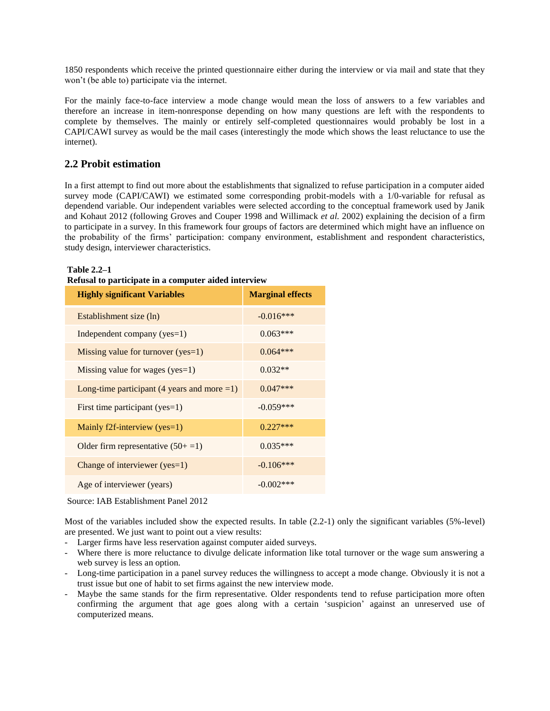1850 respondents which receive the printed questionnaire either during the interview or via mail and state that they won't (be able to) participate via the internet.

For the mainly face-to-face interview a mode change would mean the loss of answers to a few variables and therefore an increase in item-nonresponse depending on how many questions are left with the respondents to complete by themselves. The mainly or entirely self-completed questionnaires would probably be lost in a CAPI/CAWI survey as would be the mail cases (interestingly the mode which shows the least reluctance to use the internet).

### **2.2 Probit estimation**

In a first attempt to find out more about the establishments that signalized to refuse participation in a computer aided survey mode (CAPI/CAWI) we estimated some corresponding probit-models with a 1/0-variable for refusal as dependend variable. Our independent variables were selected according to the conceptual framework used by Janik and Kohaut 2012 (following Groves and Couper 1998 and Willimack *et al.* 2002) explaining the decision of a firm to participate in a survey. In this framework four groups of factors are determined which might have an influence on the probability of the firms' participation: company environment, establishment and respondent characteristics, study design, interviewer characteristics.

#### **Table 2.2–1**

| Refusal to participate in a computer aided interview |
|------------------------------------------------------|
|------------------------------------------------------|

| <b>Highly significant Variables</b>                     | <b>Marginal effects</b> |
|---------------------------------------------------------|-------------------------|
| Establishment size (ln)                                 | $-0.016***$             |
| Independent company (yes=1)                             | $0.063***$              |
| Missing value for turnover (yes=1)                      | $0.064***$              |
| Missing value for wages ( $yes=1$ )                     | $0.032**$               |
| Long-time participant $(4 \text{ years and more } = 1)$ | $0.047***$              |
| First time participant (yes=1)                          | $-0.059***$             |
| Mainly f2f-interview ( $yes=1$ )                        | $0.227***$              |
| Older firm representative $(50+1)$                      | $0.035***$              |
| Change of interviewer (yes=1)                           | $-0.106***$             |
| Age of interviewer (years)                              | $-0.002***$             |

Source: IAB Establishment Panel 2012

Most of the variables included show the expected results. In table (2.2-1) only the significant variables (5%-level) are presented. We just want to point out a view results:

- Larger firms have less reservation against computer aided surveys.
- Where there is more reluctance to divulge delicate information like total turnover or the wage sum answering a web survey is less an option.
- Long-time participation in a panel survey reduces the willingness to accept a mode change. Obviously it is not a trust issue but one of habit to set firms against the new interview mode.
- Maybe the same stands for the firm representative. Older respondents tend to refuse participation more often confirming the argument that age goes along with a certain 'suspicion' against an unreserved use of computerized means.